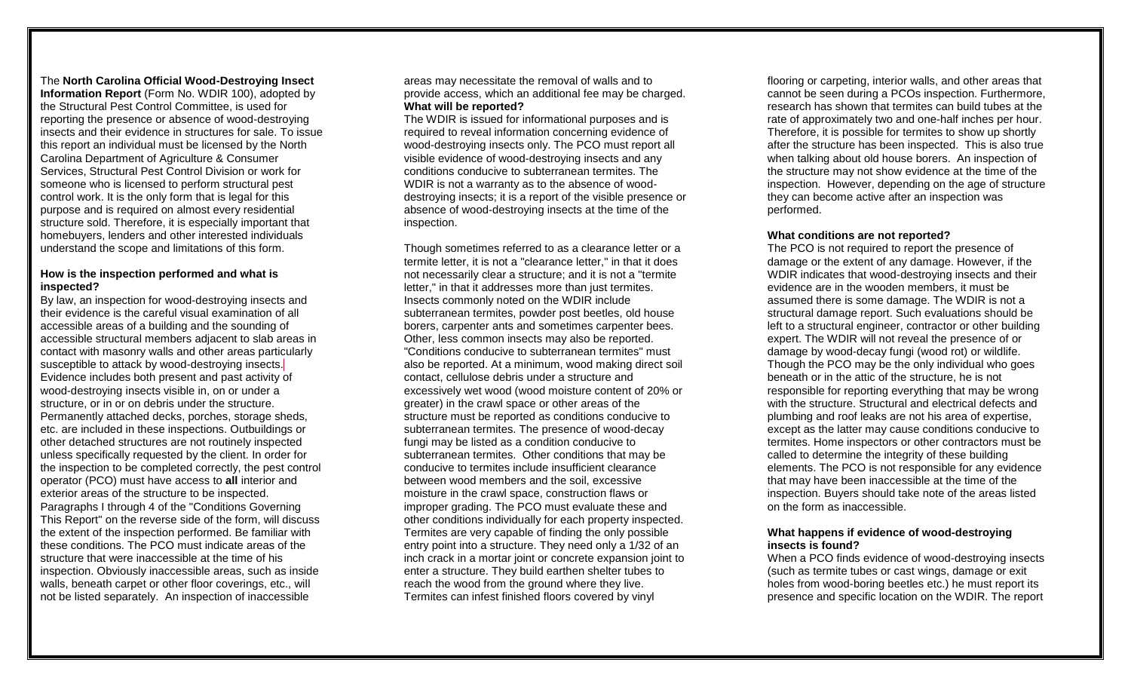#### The **North Carolina Official Wood-Destroying Insect Information Report** (Form No. WDIR 100), adopted by the Structural Pest Control Committee, is used for reporting the presence or absence of wood-destroying insects and their evidence in structures for sale. To issue this report an individual must be licensed by the North Carolina Department of Agriculture & Consumer Services, Structural Pest Control Division or work for someone who is licensed to perform structural pest control work. It is the only form that is legal for this purpose and is required on almost every residential structure sold. Therefore, it is especially important that homebuyers, lenders and other interested individuals understand the scope and limitations of this form.

## **How is the inspection performed and what is inspected?**

By law, an inspection for wood-destroying insects and their evidence is the careful visual examination of all accessible areas of a building and the sounding of accessible structural members adjacent to slab areas in contact with masonry walls and other areas particularly susceptible to attack by wood-destroying insects. Evidence includes both present and past activity of wood-destroying insects visible in, on or under a structure, or in or on debris under the structure. Permanently attached decks, porches, storage sheds, etc. are included in these inspections. Outbuildings or other detached structures are not routinely inspected unless specifically requested by the client. In order for the inspection to be completed correctly, the pest control operator (PCO) must have access to **all** interior and exterior areas of the structure to be inspected. Paragraphs I through 4 of the "Conditions Governing This Report" on the reverse side of the form, will discuss the extent of the inspection performed. Be familiar with these conditions. The PCO must indicate areas of the structure that were inaccessible at the time of his inspection. Obviously inaccessible areas, such as inside walls, beneath carpet or other floor coverings, etc., will not be listed separately. An inspection of inaccessible

areas may necessitate the removal of walls and to provide access, which an additional fee may be charged. **What will be reported?** 

The WDIR is issued for informational purposes and is required to reveal information concerning evidence of wood-destroying insects only. The PCO must report all visible evidence of wood-destroying insects and any conditions conducive to subterranean termites. The WDIR is not a warranty as to the absence of wooddestroying insects; it is a report of the visible presence or absence of wood-destroying insects at the time of the inspection.

Though sometimes referred to as a clearance letter or a termite letter, it is not a "clearance letter," in that it does not necessarily clear a structure; and it is not a "termite letter," in that it addresses more than just termites. Insects commonly noted on the WDIR include subterranean termites, powder post beetles, old house borers, carpenter ants and sometimes carpenter bees. Other, less common insects may also be reported. "Conditions conducive to subterranean termites" must also be reported. At a minimum, wood making direct soil contact, cellulose debris under a structure and excessively wet wood (wood moisture content of 20% or greater) in the crawl space or other areas of the structure must be reported as conditions conducive to subterranean termites. The presence of wood-decay fungi may be listed as a condition conducive to subterranean termites. Other conditions that may be conducive to termites include insufficient clearance between wood members and the soil, excessive moisture in the crawl space, construction flaws or improper grading. The PCO must evaluate these and other conditions individually for each property inspected. Termites are very capable of finding the only possible entry point into a structure. They need only a 1/32 of an inch crack in a mortar joint or concrete expansion joint to enter a structure. They build earthen shelter tubes to reach the wood from the ground where they live. Termites can infest finished floors covered by vinyl

flooring or carpeting, interior walls, and other areas that cannot be seen during a PCOs inspection. Furthermore, research has shown that termites can build tubes at the rate of approximately two and one-half inches per hour. Therefore, it is possible for termites to show up shortly after the structure has been inspected. This is also true when talking about old house borers. An inspection of the structure may not show evidence at the time of the inspection. However, depending on the age of structure they can become active after an inspection was performed.

#### **What conditions are not reported?**

The PCO is not required to report the presence of damage or the extent of any damage. However, if the WDIR indicates that wood-destroying insects and their evidence are in the wooden members, it must be assumed there is some damage. The WDIR is not a structural damage report. Such evaluations should be left to a structural engineer, contractor or other building expert. The WDIR will not reveal the presence of or damage by wood-decay fungi (wood rot) or wildlife. Though the PCO may be the only individual who goes beneath or in the attic of the structure, he is not responsible for reporting everything that may be wrong with the structure. Structural and electrical defects and plumbing and roof leaks are not his area of expertise, except as the latter may cause conditions conducive to termites. Home inspectors or other contractors must be called to determine the integrity of these building elements. The PCO is not responsible for any evidence that may have been inaccessible at the time of the inspection. Buyers should take note of the areas listed on the form as inaccessible.

## **What happens if evidence of wood-destroying insects is found?**

When a PCO finds evidence of wood-destroying insects (such as termite tubes or cast wings, damage or exit holes from wood-boring beetles etc.) he must report its presence and specific location on the WDIR. The report